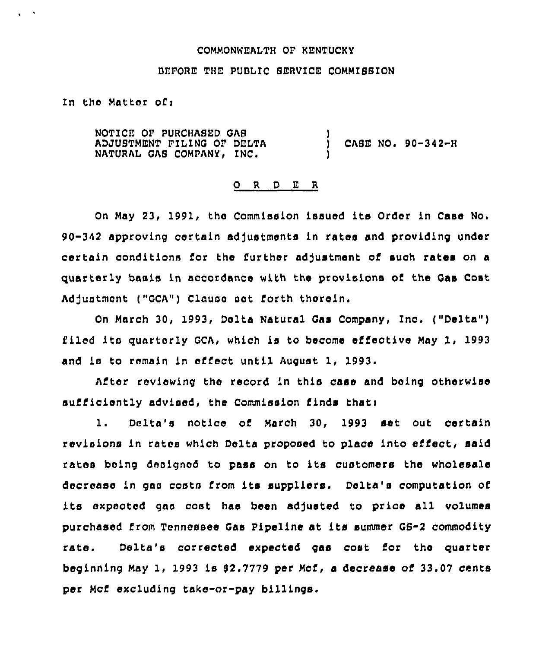### COMMONWEALTH OF KENTUCKY

## BEFORE THE PUBLIC SERVICE COMMISSION

In the Matter of <sup>i</sup>

 $\mathbf{v} \in \mathcal{F}$ 

NOTICE OF PURCHASED QAS ADJUSTMENT FILING OF DELTA (ASE NO. 90–342–F<br>NATURAL GAS COMPANY, INC. (2008) )

### 0 <sup>R</sup> <sup>D</sup> L" <sup>R</sup>

On May 23, 1991, the Commission issued its Order in Case No. 90-342 approving certain adjustments in rates and providing under certain oonditions for the further adjustment of such rates on a quarterly basis in accordance with the provisions of the Qas Cost Adjustment ("GCA") Clause set forth therein.

On March 30, 1993, Delta Natural Gas Company, Inc. ("Delta" ) filed its quarterly GCA, which is to become effective May 1, 1993 and is to remain in effect until August 1, 1993.

After reviewing the record in this case and being otherwise sufficiently advised, the Commission finds that:

1. Delta's notice of March 30, 1993 set out certain revisions in rates which Delta proposed to place into efiect, said rates being designed to pass on to its customers the wholesale decrease in gas costs from its suppliers. Delta's computation of its expected gas cost has been adjusted to price all volumes purchased from Tennessee Qas Pipeline at its summer GS-2 commodity rate. Delta's corrected expected gas cost for the quarter beginning May 1, 1993 is 92.7779 per Mcf, a decrease of 33.07 cents per Mcf excluding take-or-pay billings.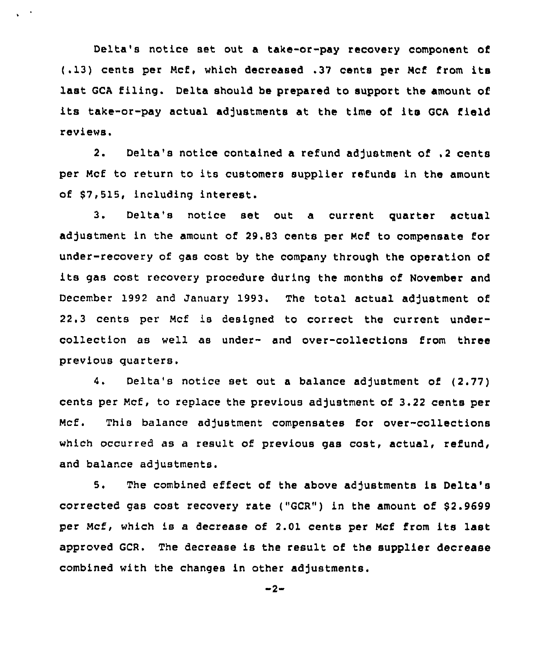Delta's notice set out a take-or-pay recovery component of (.13) cents per Ncf. which decreased .37 cents per Ncf from its last GCA filing. Delta should be prepared to support the amount of its take-or-pay actual adjustments at the time of its GCA field reviews.

 $\sqrt{2}$ 

2. Delta's notice contained a refund adjustment of .2 cents per Ncf to return to its customers supplier refunds in the amount of \$7,515, including interest.

3. Delta's notice set out a current guarter actual adjustment in the amount of 29.83 cents per Mcf to compensate for under-recovery of gas cost by the company through the operation of its gas cost recovery procedure during the months of November and December 1992 and January 1993. The total actual adjustment of 22.3 cents per Ncf is designed to correct the current undercollection as well as under- and over-collections from three previous quarters.

4. Delta's notice set out <sup>a</sup> balance adjustment of (2.77) cents per Mcf, to replace the previous adjustment of 3.22 cents per Mcf. This balance adjustment compensates for over-collections which occurred as a result of previous gas cost, actual, refund, and balance adjustments.

5. The combined effect of the above adjustments is Delta's corrected gas cost recovery rate ("GCR") in the amount of \$2.9699 per Mcf, which is a decrease of 2.01 cents per Mcf from its last approved GCR. The decrease is the result of the supplier decrease combined with the changes in other adjustments.

 $-2-$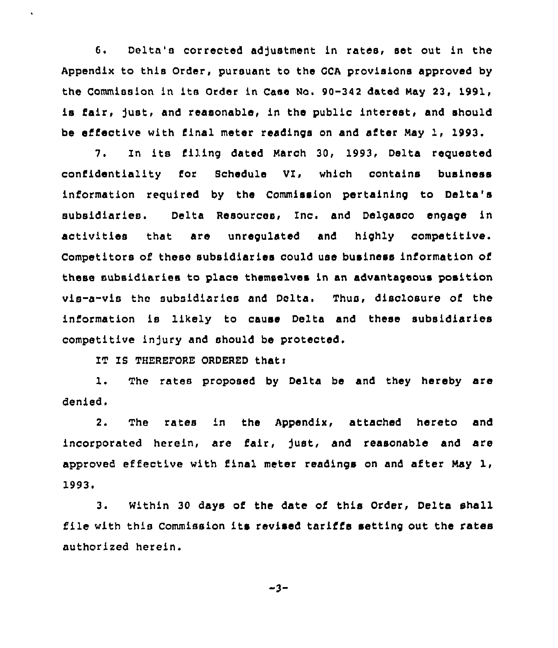6. Delta's corrected adjustment in rates, set out in the Appendix to this Order, pursuant to the GCA provisions approved by the Commission in ite Order in Case No. 90-342 dated May 23, 1991, is fair, just, and reasonable, in the public interest, and should be effective with final meter readings on and after May 1, 1993.

7. In its filing dated March 30, 1993, Delta requested confidentiality for Schedule VI, which contains business information required by the Commission pertaining to Delta's subsidiaries. Delta Resources, Inc. and Delgasco engage in activities that are unregulated and highly competitive. Competitors of these subsidiaries could use business information of these subsidiaries to place themselves in an advantageous position vis-a-vis the subsidiaries and Delta. Thus, disclosure of the information is likely to cause Delta and these subsidiaries competitive injury and should be protected.

IT IS THEREFORE ORDERED that:

1. The rates proposed by Delta be and they hereby are denied.

 $2.$ The rates in the Appendix, attached hereto and incorporated herein, are fair, just, and reasonable and are approved effective with final meter readings on and after May 1, 1993.<br>3.

Within 30 days of the date of this Order, Delta shall file with this Commission its revised tariffs setting out the rates authorized herein.

$$
-3-
$$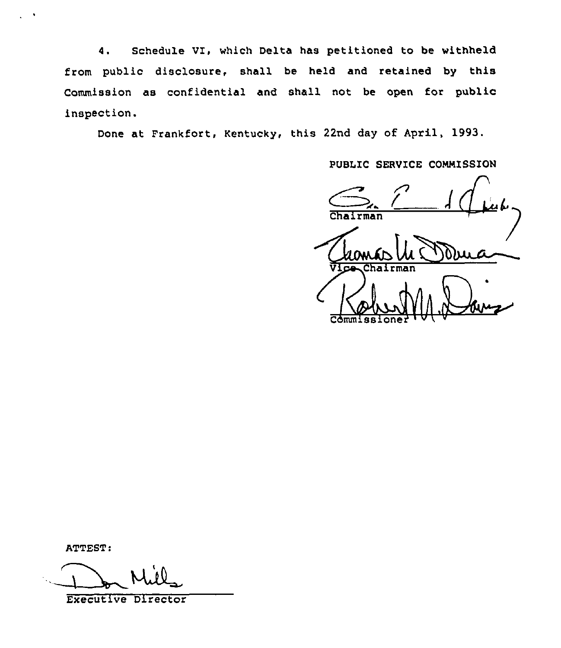4. Schedule VI, which Delta has petitioned to be withheld from public disclosure, shall be held and retained by this Commission as confidential and shall not be open for public inspection.

Done at Frankfort, Rentucky, this 22nd day of April, 1993.

PUBLIC SERVICE COMMISSION

 $\int\int_{-\infty}^{\infty} f(x) dx$ Chairman Commissioner <del>| U | W</del>

ATTEST:

Executive Director